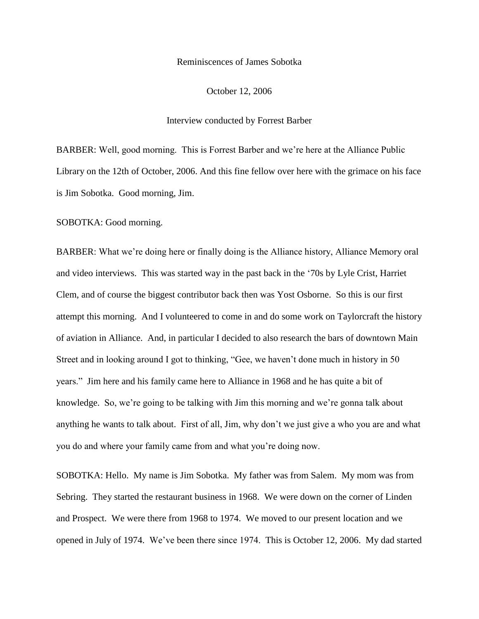## Reminiscences of James Sobotka

October 12, 2006

## Interview conducted by Forrest Barber

BARBER: Well, good morning. This is Forrest Barber and we"re here at the Alliance Public Library on the 12th of October, 2006. And this fine fellow over here with the grimace on his face is Jim Sobotka. Good morning, Jim.

SOBOTKA: Good morning.

BARBER: What we're doing here or finally doing is the Alliance history, Alliance Memory oral and video interviews. This was started way in the past back in the "70s by Lyle Crist, Harriet Clem, and of course the biggest contributor back then was Yost Osborne. So this is our first attempt this morning. And I volunteered to come in and do some work on Taylorcraft the history of aviation in Alliance. And, in particular I decided to also research the bars of downtown Main Street and in looking around I got to thinking, "Gee, we haven"t done much in history in 50 years." Jim here and his family came here to Alliance in 1968 and he has quite a bit of knowledge. So, we"re going to be talking with Jim this morning and we"re gonna talk about anything he wants to talk about. First of all, Jim, why don"t we just give a who you are and what you do and where your family came from and what you"re doing now.

SOBOTKA: Hello. My name is Jim Sobotka. My father was from Salem. My mom was from Sebring. They started the restaurant business in 1968. We were down on the corner of Linden and Prospect. We were there from 1968 to 1974. We moved to our present location and we opened in July of 1974. We"ve been there since 1974. This is October 12, 2006. My dad started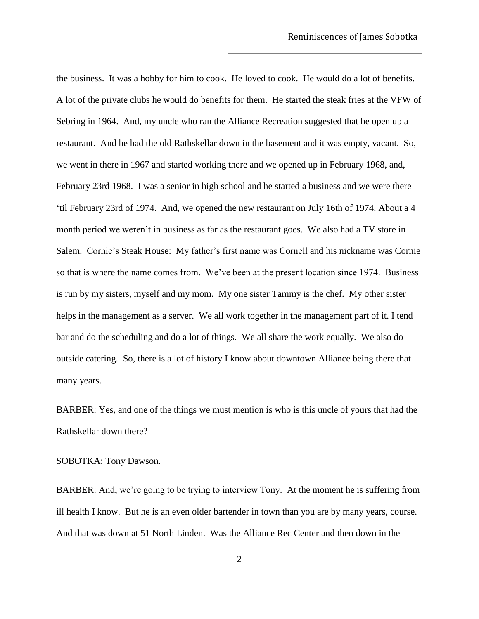the business. It was a hobby for him to cook. He loved to cook. He would do a lot of benefits. A lot of the private clubs he would do benefits for them. He started the steak fries at the VFW of Sebring in 1964. And, my uncle who ran the Alliance Recreation suggested that he open up a restaurant. And he had the old Rathskellar down in the basement and it was empty, vacant. So, we went in there in 1967 and started working there and we opened up in February 1968, and, February 23rd 1968. I was a senior in high school and he started a business and we were there "til February 23rd of 1974. And, we opened the new restaurant on July 16th of 1974. About a 4 month period we weren"t in business as far as the restaurant goes. We also had a TV store in Salem. Cornie's Steak House: My father's first name was Cornell and his nickname was Cornie so that is where the name comes from. We've been at the present location since 1974. Business is run by my sisters, myself and my mom. My one sister Tammy is the chef. My other sister helps in the management as a server. We all work together in the management part of it. I tend bar and do the scheduling and do a lot of things. We all share the work equally. We also do outside catering. So, there is a lot of history I know about downtown Alliance being there that many years.

BARBER: Yes, and one of the things we must mention is who is this uncle of yours that had the Rathskellar down there?

SOBOTKA: Tony Dawson.

BARBER: And, we're going to be trying to interview Tony. At the moment he is suffering from ill health I know. But he is an even older bartender in town than you are by many years, course. And that was down at 51 North Linden. Was the Alliance Rec Center and then down in the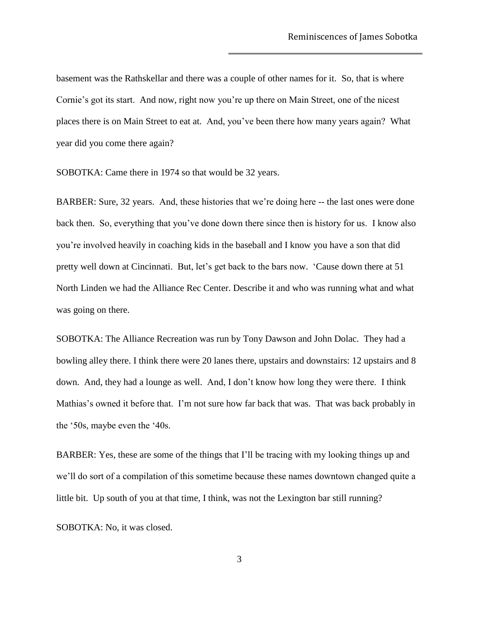basement was the Rathskellar and there was a couple of other names for it. So, that is where Cornie's got its start. And now, right now you're up there on Main Street, one of the nicest places there is on Main Street to eat at. And, you"ve been there how many years again? What year did you come there again?

SOBOTKA: Came there in 1974 so that would be 32 years.

BARBER: Sure, 32 years. And, these histories that we're doing here -- the last ones were done back then. So, everything that you"ve done down there since then is history for us. I know also you"re involved heavily in coaching kids in the baseball and I know you have a son that did pretty well down at Cincinnati. But, let's get back to the bars now. 'Cause down there at 51 North Linden we had the Alliance Rec Center. Describe it and who was running what and what was going on there.

SOBOTKA: The Alliance Recreation was run by Tony Dawson and John Dolac. They had a bowling alley there. I think there were 20 lanes there, upstairs and downstairs: 12 upstairs and 8 down. And, they had a lounge as well. And, I don"t know how long they were there. I think Mathias's owned it before that. I'm not sure how far back that was. That was back probably in the "50s, maybe even the "40s.

BARBER: Yes, these are some of the things that I"ll be tracing with my looking things up and we"ll do sort of a compilation of this sometime because these names downtown changed quite a little bit. Up south of you at that time, I think, was not the Lexington bar still running?

SOBOTKA: No, it was closed.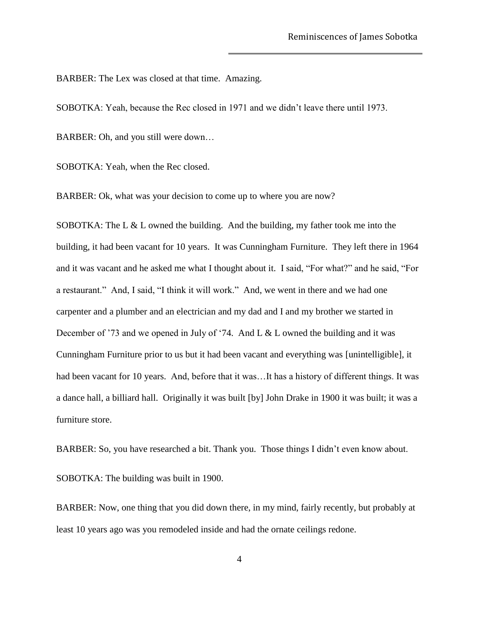BARBER: The Lex was closed at that time. Amazing.

SOBOTKA: Yeah, because the Rec closed in 1971 and we didn"t leave there until 1973.

BARBER: Oh, and you still were down…

SOBOTKA: Yeah, when the Rec closed.

BARBER: Ok, what was your decision to come up to where you are now?

SOBOTKA: The L & L owned the building. And the building, my father took me into the building, it had been vacant for 10 years. It was Cunningham Furniture. They left there in 1964 and it was vacant and he asked me what I thought about it. I said, "For what?" and he said, "For a restaurant." And, I said, "I think it will work." And, we went in there and we had one carpenter and a plumber and an electrician and my dad and I and my brother we started in December of '73 and we opened in July of '74. And L & L owned the building and it was Cunningham Furniture prior to us but it had been vacant and everything was [unintelligible], it had been vacant for 10 years. And, before that it was...It has a history of different things. It was a dance hall, a billiard hall. Originally it was built [by] John Drake in 1900 it was built; it was a furniture store.

BARBER: So, you have researched a bit. Thank you. Those things I didn"t even know about. SOBOTKA: The building was built in 1900.

BARBER: Now, one thing that you did down there, in my mind, fairly recently, but probably at least 10 years ago was you remodeled inside and had the ornate ceilings redone.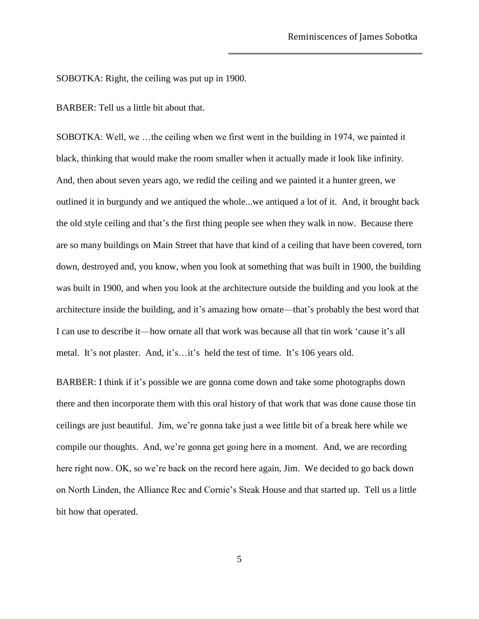SOBOTKA: Right, the ceiling was put up in 1900.

BARBER: Tell us a little bit about that.

SOBOTKA: Well, we …the ceiling when we first went in the building in 1974, we painted it black, thinking that would make the room smaller when it actually made it look like infinity. And, then about seven years ago, we redid the ceiling and we painted it a hunter green, we outlined it in burgundy and we antiqued the whole...we antiqued a lot of it. And, it brought back the old style ceiling and that"s the first thing people see when they walk in now. Because there are so many buildings on Main Street that have that kind of a ceiling that have been covered, torn down, destroyed and, you know, when you look at something that was built in 1900, the building was built in 1900, and when you look at the architecture outside the building and you look at the architecture inside the building, and it"s amazing how ornate—that"s probably the best word that I can use to describe it—how ornate all that work was because all that tin work 'cause it's all metal. It's not plaster. And, it's…it's held the test of time. It's 106 years old.

BARBER: I think if it's possible we are gonna come down and take some photographs down there and then incorporate them with this oral history of that work that was done cause those tin ceilings are just beautiful. Jim, we"re gonna take just a wee little bit of a break here while we compile our thoughts. And, we're gonna get going here in a moment. And, we are recording here right now. OK, so we're back on the record here again, Jim. We decided to go back down on North Linden, the Alliance Rec and Cornie"s Steak House and that started up. Tell us a little bit how that operated.

5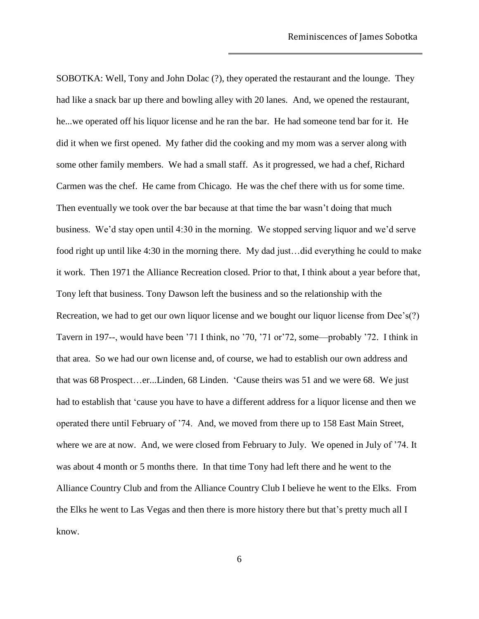SOBOTKA: Well, Tony and John Dolac (?), they operated the restaurant and the lounge. They had like a snack bar up there and bowling alley with 20 lanes. And, we opened the restaurant, he...we operated off his liquor license and he ran the bar. He had someone tend bar for it. He did it when we first opened. My father did the cooking and my mom was a server along with some other family members. We had a small staff. As it progressed, we had a chef, Richard Carmen was the chef. He came from Chicago. He was the chef there with us for some time. Then eventually we took over the bar because at that time the bar wasn"t doing that much business. We"d stay open until 4:30 in the morning. We stopped serving liquor and we"d serve food right up until like 4:30 in the morning there. My dad just…did everything he could to make it work. Then 1971 the Alliance Recreation closed. Prior to that, I think about a year before that, Tony left that business. Tony Dawson left the business and so the relationship with the Recreation, we had to get our own liquor license and we bought our liquor license from Dee's(?) Tavern in 197--, would have been "71 I think, no "70, "71 or"72, some—probably "72. I think in that area. So we had our own license and, of course, we had to establish our own address and that was 68 Prospect…er...Linden, 68 Linden. "Cause theirs was 51 and we were 68. We just had to establish that "cause you have to have a different address for a liquor license and then we operated there until February of "74. And, we moved from there up to 158 East Main Street, where we are at now. And, we were closed from February to July. We opened in July of '74. It was about 4 month or 5 months there. In that time Tony had left there and he went to the Alliance Country Club and from the Alliance Country Club I believe he went to the Elks. From the Elks he went to Las Vegas and then there is more history there but that"s pretty much all I know.

6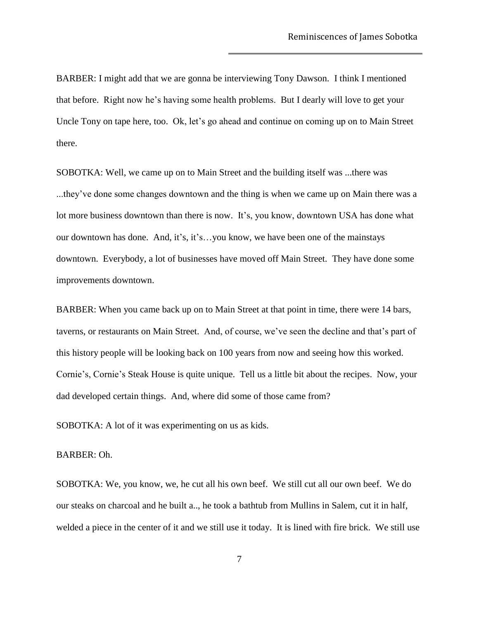BARBER: I might add that we are gonna be interviewing Tony Dawson. I think I mentioned that before. Right now he"s having some health problems. But I dearly will love to get your Uncle Tony on tape here, too. Ok, let's go ahead and continue on coming up on to Main Street there.

SOBOTKA: Well, we came up on to Main Street and the building itself was ...there was ...they"ve done some changes downtown and the thing is when we came up on Main there was a lot more business downtown than there is now. It's, you know, downtown USA has done what our downtown has done. And, it"s, it"s…you know, we have been one of the mainstays downtown. Everybody, a lot of businesses have moved off Main Street. They have done some improvements downtown.

BARBER: When you came back up on to Main Street at that point in time, there were 14 bars, taverns, or restaurants on Main Street. And, of course, we"ve seen the decline and that"s part of this history people will be looking back on 100 years from now and seeing how this worked. Cornie"s, Cornie"s Steak House is quite unique. Tell us a little bit about the recipes. Now, your dad developed certain things. And, where did some of those came from?

SOBOTKA: A lot of it was experimenting on us as kids.

## BARBER: Oh.

SOBOTKA: We, you know, we, he cut all his own beef. We still cut all our own beef. We do our steaks on charcoal and he built a.., he took a bathtub from Mullins in Salem, cut it in half, welded a piece in the center of it and we still use it today. It is lined with fire brick. We still use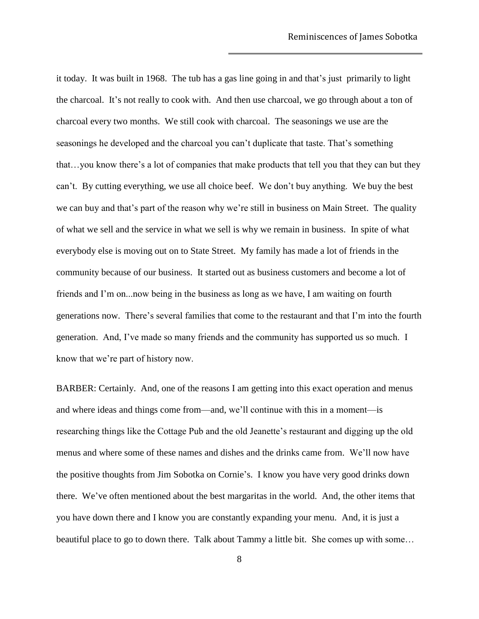it today. It was built in 1968. The tub has a gas line going in and that"s just primarily to light the charcoal. It's not really to cook with. And then use charcoal, we go through about a ton of charcoal every two months. We still cook with charcoal. The seasonings we use are the seasonings he developed and the charcoal you can't duplicate that taste. That's something that…you know there"s a lot of companies that make products that tell you that they can but they can"t. By cutting everything, we use all choice beef. We don"t buy anything. We buy the best we can buy and that"s part of the reason why we"re still in business on Main Street. The quality of what we sell and the service in what we sell is why we remain in business. In spite of what everybody else is moving out on to State Street. My family has made a lot of friends in the community because of our business. It started out as business customers and become a lot of friends and I"m on...now being in the business as long as we have, I am waiting on fourth generations now. There"s several families that come to the restaurant and that I"m into the fourth generation. And, I"ve made so many friends and the community has supported us so much. I know that we"re part of history now.

BARBER: Certainly. And, one of the reasons I am getting into this exact operation and menus and where ideas and things come from—and, we"ll continue with this in a moment—is researching things like the Cottage Pub and the old Jeanette"s restaurant and digging up the old menus and where some of these names and dishes and the drinks came from. We"ll now have the positive thoughts from Jim Sobotka on Cornie"s. I know you have very good drinks down there. We"ve often mentioned about the best margaritas in the world. And, the other items that you have down there and I know you are constantly expanding your menu. And, it is just a beautiful place to go to down there. Talk about Tammy a little bit. She comes up with some…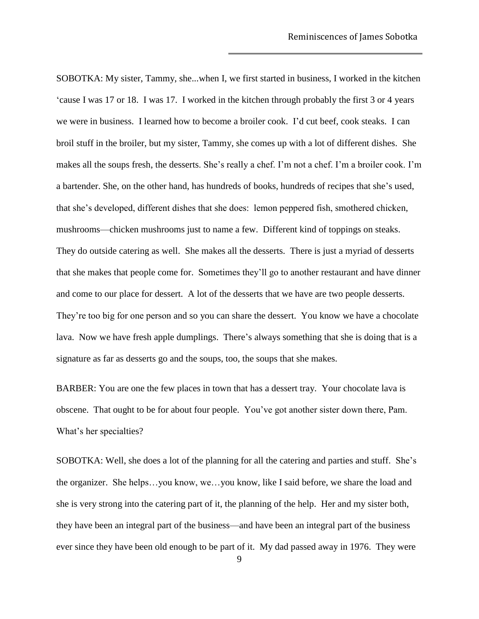SOBOTKA: My sister, Tammy, she...when I, we first started in business, I worked in the kitchen "cause I was 17 or 18. I was 17. I worked in the kitchen through probably the first 3 or 4 years we were in business. I learned how to become a broiler cook. I"d cut beef, cook steaks. I can broil stuff in the broiler, but my sister, Tammy, she comes up with a lot of different dishes. She makes all the soups fresh, the desserts. She's really a chef. I'm not a chef. I'm a broiler cook. I'm a bartender. She, on the other hand, has hundreds of books, hundreds of recipes that she"s used, that she"s developed, different dishes that she does: lemon peppered fish, smothered chicken, mushrooms—chicken mushrooms just to name a few. Different kind of toppings on steaks. They do outside catering as well. She makes all the desserts. There is just a myriad of desserts that she makes that people come for. Sometimes they"ll go to another restaurant and have dinner and come to our place for dessert. A lot of the desserts that we have are two people desserts. They're too big for one person and so you can share the dessert. You know we have a chocolate lava. Now we have fresh apple dumplings. There's always something that she is doing that is a signature as far as desserts go and the soups, too, the soups that she makes.

BARBER: You are one the few places in town that has a dessert tray. Your chocolate lava is obscene. That ought to be for about four people. You"ve got another sister down there, Pam. What's her specialties?

SOBOTKA: Well, she does a lot of the planning for all the catering and parties and stuff. She"s the organizer. She helps…you know, we…you know, like I said before, we share the load and she is very strong into the catering part of it, the planning of the help. Her and my sister both, they have been an integral part of the business—and have been an integral part of the business ever since they have been old enough to be part of it. My dad passed away in 1976. They were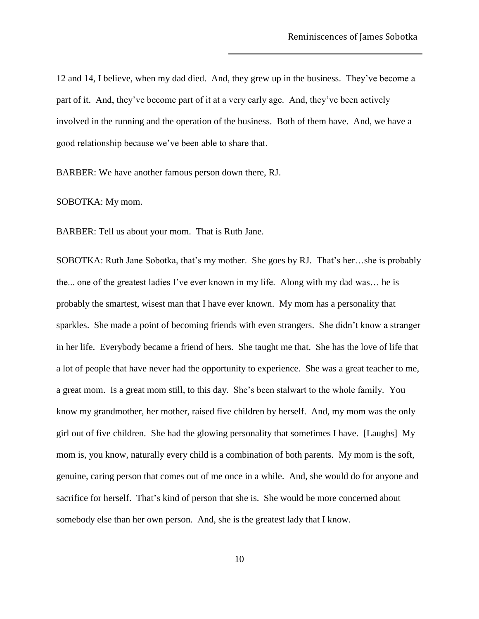12 and 14, I believe, when my dad died. And, they grew up in the business. They"ve become a part of it. And, they"ve become part of it at a very early age. And, they"ve been actively involved in the running and the operation of the business. Both of them have. And, we have a good relationship because we"ve been able to share that.

BARBER: We have another famous person down there, RJ.

SOBOTKA: My mom.

BARBER: Tell us about your mom. That is Ruth Jane.

SOBOTKA: Ruth Jane Sobotka, that"s my mother. She goes by RJ. That"s her…she is probably the... one of the greatest ladies I"ve ever known in my life. Along with my dad was… he is probably the smartest, wisest man that I have ever known. My mom has a personality that sparkles. She made a point of becoming friends with even strangers. She didn"t know a stranger in her life. Everybody became a friend of hers. She taught me that. She has the love of life that a lot of people that have never had the opportunity to experience. She was a great teacher to me, a great mom. Is a great mom still, to this day. She"s been stalwart to the whole family. You know my grandmother, her mother, raised five children by herself. And, my mom was the only girl out of five children. She had the glowing personality that sometimes I have. [Laughs] My mom is, you know, naturally every child is a combination of both parents. My mom is the soft, genuine, caring person that comes out of me once in a while. And, she would do for anyone and sacrifice for herself. That's kind of person that she is. She would be more concerned about somebody else than her own person. And, she is the greatest lady that I know.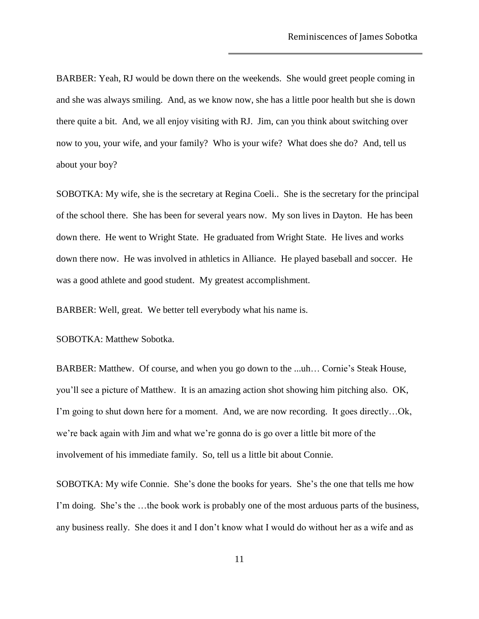BARBER: Yeah, RJ would be down there on the weekends. She would greet people coming in and she was always smiling. And, as we know now, she has a little poor health but she is down there quite a bit. And, we all enjoy visiting with RJ. Jim, can you think about switching over now to you, your wife, and your family? Who is your wife? What does she do? And, tell us about your boy?

SOBOTKA: My wife, she is the secretary at Regina Coeli.. She is the secretary for the principal of the school there. She has been for several years now. My son lives in Dayton. He has been down there. He went to Wright State. He graduated from Wright State. He lives and works down there now. He was involved in athletics in Alliance. He played baseball and soccer. He was a good athlete and good student. My greatest accomplishment.

BARBER: Well, great. We better tell everybody what his name is.

SOBOTKA: Matthew Sobotka.

BARBER: Matthew. Of course, and when you go down to the ...uh... Cornie's Steak House, you"ll see a picture of Matthew. It is an amazing action shot showing him pitching also. OK, I'm going to shut down here for a moment. And, we are now recording. It goes directly...Ok, we"re back again with Jim and what we"re gonna do is go over a little bit more of the involvement of his immediate family. So, tell us a little bit about Connie.

SOBOTKA: My wife Connie. She's done the books for years. She's the one that tells me how I'm doing. She's the ...the book work is probably one of the most arduous parts of the business, any business really. She does it and I don"t know what I would do without her as a wife and as